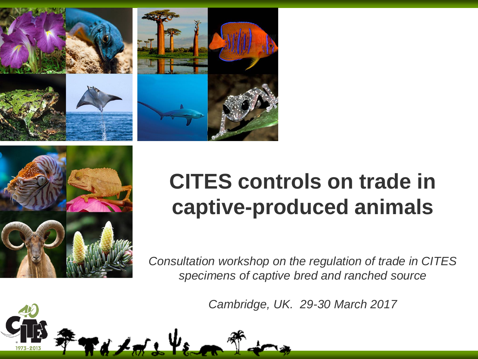



# **CITES controls on trade in captive-produced animals**

*Consultation workshop on the regulation of trade in CITES specimens of captive bred and ranched source*

*Cambridge, UK. 29-30 March 2017*

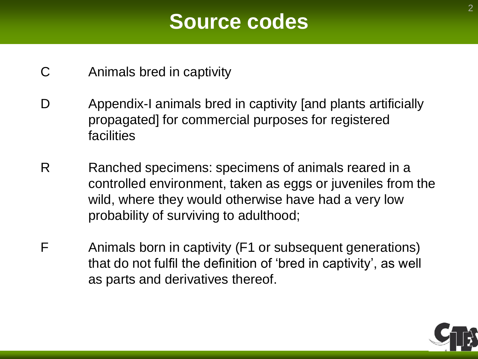#### **Source codes**

- C Animals bred in captivity
- D Appendix-I animals bred in captivity [and plants artificially propagated] for commercial purposes for registered facilities
- R Ranched specimens: specimens of animals reared in a controlled environment, taken as eggs or juveniles from the wild, where they would otherwise have had a very low probability of surviving to adulthood;
- F Animals born in captivity (F1 or subsequent generations) that do not fulfil the definition of 'bred in captivity', as well as parts and derivatives thereof.

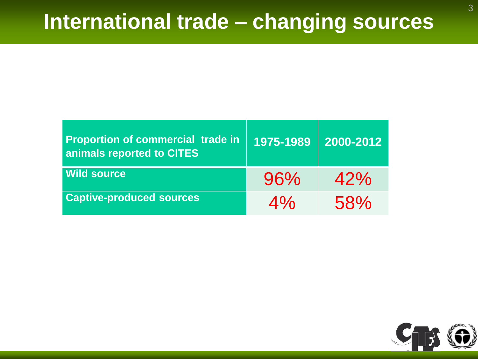### **International trade – changing sources**

| <b>Proportion of commercial trade in</b><br>animals reported to CITES | 1975-1989 | 2000-2012 |
|-----------------------------------------------------------------------|-----------|-----------|
| <b>Wild source</b>                                                    | 96%       | 42%       |
| <b>Captive-produced sources</b>                                       | $4\%$     | 58%       |

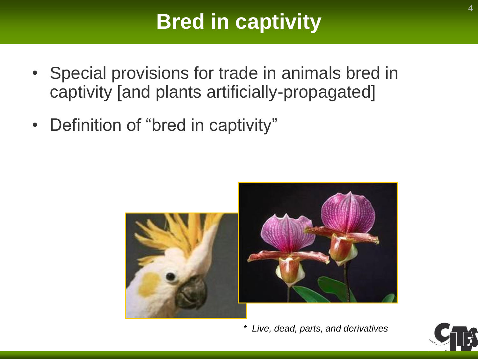### **Bred in captivity**

- Special provisions for trade in animals bred in captivity [and plants artificially-propagated]
- Definition of "bred in captivity"



*\* Live, dead, parts, and derivatives*

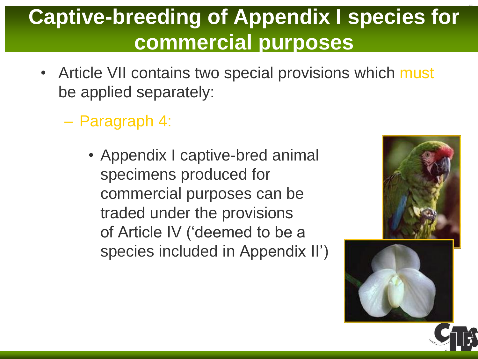## **Captive-breeding of Appendix I species for commercial purposes**

- Article VII contains two special provisions which must be applied separately:
	- Paragraph 4:
		- Appendix I captive-bred animal specimens produced for commercial purposes can be traded under the provisions of Article IV ('deemed to be a species included in Appendix II')



5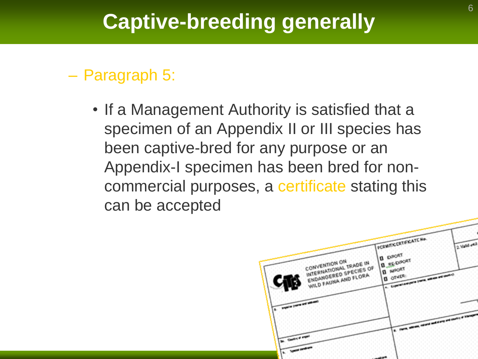#### **Captive-breeding generally**

#### – Paragraph 5:

• If a Management Authority is satisfied that a specimen of an Appendix II or III species has been captive-bred for any purpose or an Appendix-I specimen has been bred for noncommercial purposes, a certificate stating this can be accepted

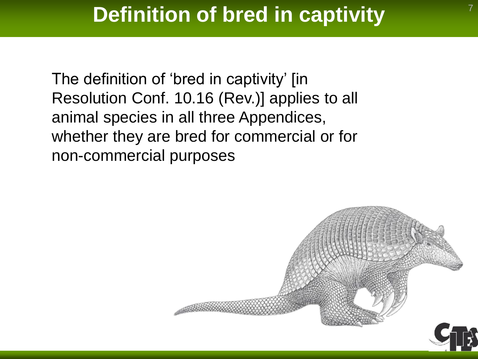#### **Definition of bred in captivity**

The definition of 'bred in captivity' [in Resolution Conf. 10.16 (Rev.)] applies to all animal species in all three Appendices, whether they are bred for commercial or for non-commercial purposes

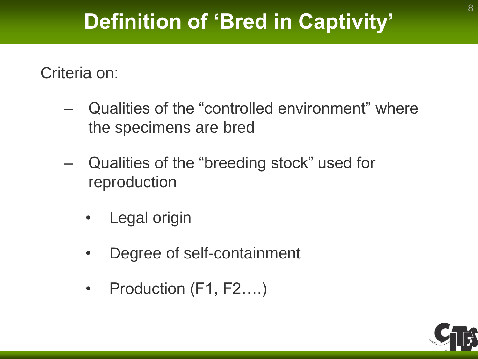## **Definition of 'Bred in Captivity'**

Criteria on:

- Qualities of the "controlled environment" where the specimens are bred
- Qualities of the "breeding stock" used for reproduction
	- Legal origin
	- Degree of self-containment
	- Production (F1, F2....)

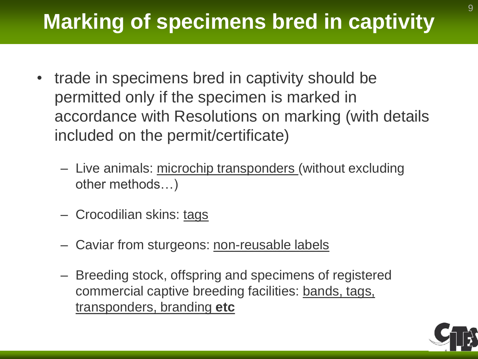# **Marking of specimens bred in captivity**

- trade in specimens bred in captivity should be permitted only if the specimen is marked in accordance with Resolutions on marking (with details included on the permit/certificate)
	- Live animals: microchip transponders (without excluding other methods…)
	- Crocodilian skins: tags
	- Caviar from sturgeons: non-reusable labels
	- Breeding stock, offspring and specimens of registered commercial captive breeding facilities: bands, tags, transponders, branding **etc**

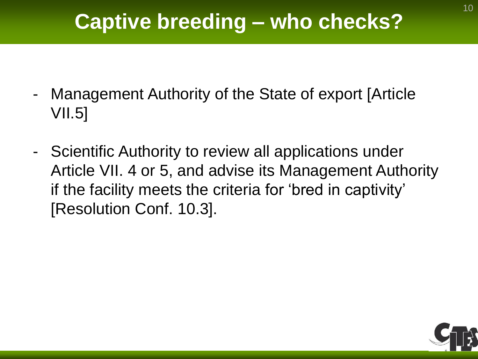## **Captive breeding – who checks?**

- Management Authority of the State of export [Article VII.5]
- Scientific Authority to review all applications under Article VII. 4 or 5, and advise its Management Authority if the facility meets the criteria for 'bred in captivity' [Resolution Conf. 10.3].

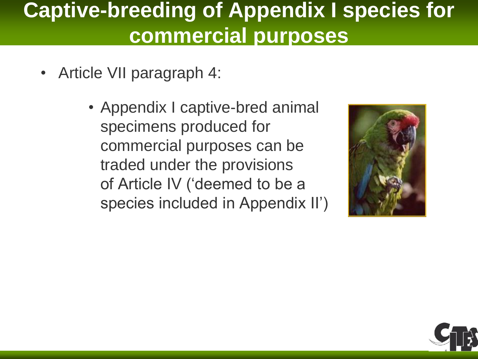## **Captive-breeding of Appendix I species for commercial purposes**

- Article VII paragraph 4:
	- Appendix I captive-bred animal specimens produced for commercial purposes can be traded under the provisions of Article IV ('deemed to be a species included in Appendix II')



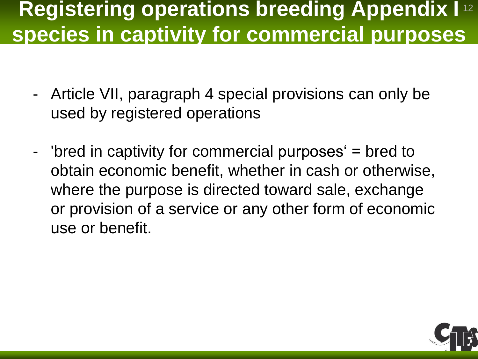### **Registering operations breeding Appendix I**  12 **species in captivity for commercial purposes**

- Article VII, paragraph 4 special provisions can only be used by registered operations
- 'bred in captivity for commercial purposes' = bred to obtain economic benefit, whether in cash or otherwise, where the purpose is directed toward sale, exchange or provision of a service or any other form of economic use or benefit.

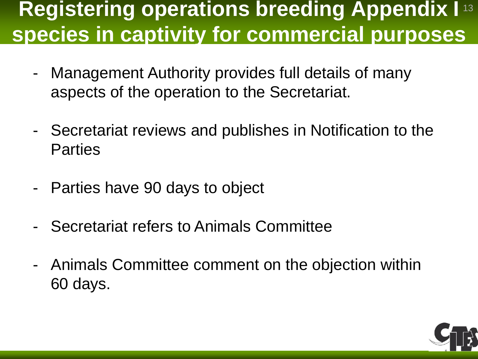### **Registering operations breeding Appendix I**  13 **species in captivity for commercial purposes**

- Management Authority provides full details of many aspects of the operation to the Secretariat.
- Secretariat reviews and publishes in Notification to the Parties
- Parties have 90 days to object
- Secretariat refers to Animals Committee
- Animals Committee comment on the objection within 60 days.

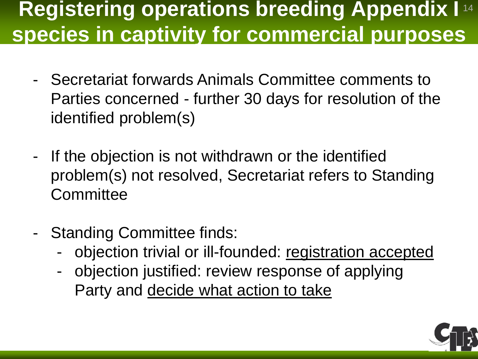## **Registering operations breeding Appendix I**  14 **species in captivity for commercial purposes**

- Secretariat forwards Animals Committee comments to Parties concerned - further 30 days for resolution of the identified problem(s)
- If the objection is not withdrawn or the identified problem(s) not resolved, Secretariat refers to Standing **Committee**
- Standing Committee finds:
	- objection trivial or ill-founded: registration accepted
	- objection justified: review response of applying Party and decide what action to take

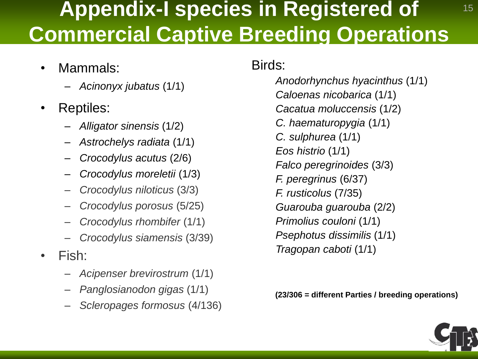### **Appendix-I species in Registered of Commercial Captive Breeding Operations**

- Mammals:
	- *Acinonyx jubatus* (1/1)
- Reptiles:
	- *Alligator sinensis* (1/2)
	- *Astrochelys radiata* (1/1)
	- *Crocodylus acutus* (2/6)
	- *Crocodylus moreletii* (1/3)
	- *Crocodylus niloticus* (3/3)
	- *Crocodylus porosus* (5/25)
	- *Crocodylus rhombifer* (1/1)
	- *Crocodylus siamensis* (3/39)
- Fish:
	- *Acipenser brevirostrum* (1/1)
	- *Panglosianodon gigas* (1/1)
	- *Scleropages formosus* (4/136)

#### Birds:

*Anodorhynchus hyacinthus* (1/1) *Caloenas nicobarica* (1/1) *Cacatua moluccensis* (1/2) *C. haematuropygia* (1/1) *C. sulphurea* (1/1) *Eos histrio* (1/1) *Falco peregrinoides* (3/3) *F. peregrinus* (6/37) *F. rusticolus* (7/35) *Guarouba guarouba* (2/2) *Primolius couloni* (1/1) *Psephotus dissimilis* (1/1) *Tragopan caboti* (1/1)

**(23/306 = different Parties / breeding operations)**



15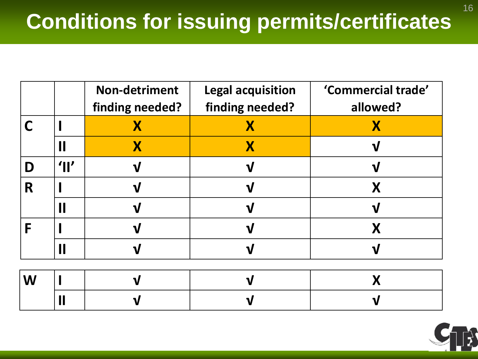|   |                 | <b>Non-detriment</b><br>finding needed? | <b>Legal acquisition</b><br>finding needed? | 'Commercial trade'<br>allowed? |  |
|---|-----------------|-----------------------------------------|---------------------------------------------|--------------------------------|--|
|   |                 |                                         |                                             | X                              |  |
|   |                 | $\boldsymbol{\mathsf{X}}$               | X                                           |                                |  |
| D | $^{\prime}$ II' |                                         |                                             |                                |  |
| R |                 |                                         |                                             |                                |  |
|   | $\mathsf I$     |                                         |                                             |                                |  |
| F |                 |                                         |                                             |                                |  |
|   |                 |                                         |                                             |                                |  |
|   |                 |                                         |                                             |                                |  |
| W |                 |                                         |                                             |                                |  |
|   |                 |                                         |                                             |                                |  |



16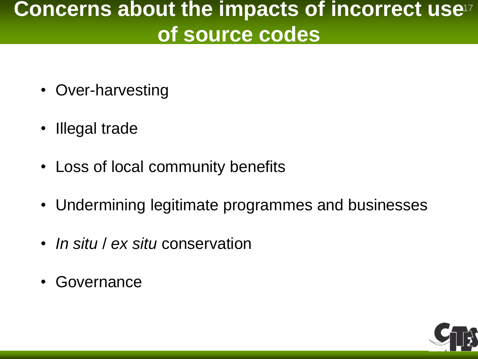### **Concerns about the impacts of incorrect use<sup>17</sup></u> of source codes**

- Over-harvesting
- Illegal trade
- Loss of local community benefits
- Undermining legitimate programmes and businesses
- *In situ* / *ex situ* conservation
- Governance

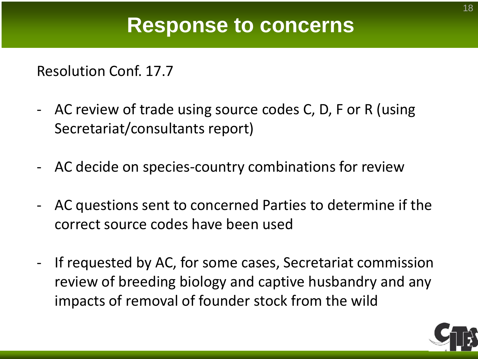#### **Response to concerns**

Resolution Conf. 17.7

- AC review of trade using source codes C, D, F or R (using Secretariat/consultants report)
- AC decide on species-country combinations for review
- AC questions sent to concerned Parties to determine if the correct source codes have been used
- If requested by AC, for some cases, Secretariat commission review of breeding biology and captive husbandry and any impacts of removal of founder stock from the wild

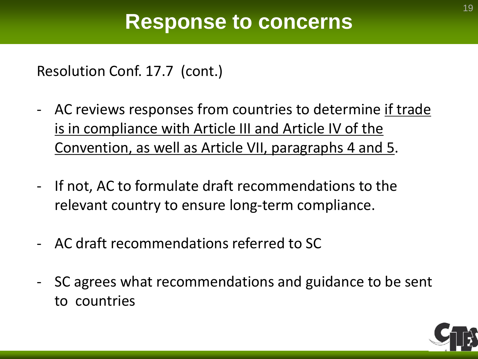Resolution Conf. 17.7 (cont.)

- AC reviews responses from countries to determine if trade is in compliance with Article III and Article IV of the Convention, as well as Article VII, paragraphs 4 and 5.
- If not, AC to formulate draft recommendations to the relevant country to ensure long-term compliance.
- AC draft recommendations referred to SC
- SC agrees what recommendations and guidance to be sent to countries

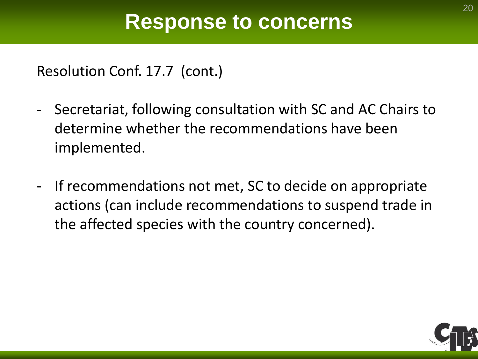#### **Response to concerns**

Resolution Conf. 17.7 (cont.)

- Secretariat, following consultation with SC and AC Chairs to determine whether the recommendations have been implemented.
- If recommendations not met, SC to decide on appropriate actions (can include recommendations to suspend trade in the affected species with the country concerned).

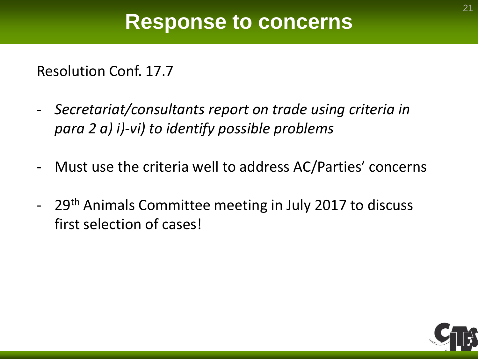#### **Response to concerns**

Resolution Conf. 17.7

- *Secretariat/consultants report on trade using criteria in para 2 a) i)-vi) to identify possible problems*
- Must use the criteria well to address AC/Parties' concerns
- 29<sup>th</sup> Animals Committee meeting in July 2017 to discuss first selection of cases!

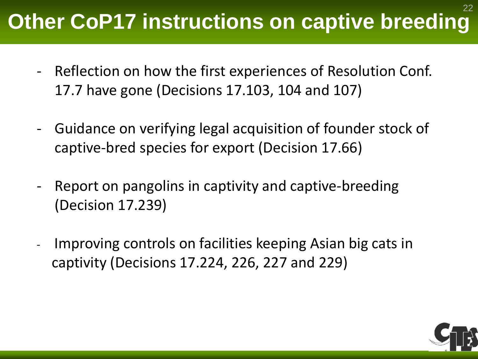#### **Other CoP17 instructions on captive breeding** 22

- Reflection on how the first experiences of Resolution Conf. 17.7 have gone (Decisions 17.103, 104 and 107)
- Guidance on verifying legal acquisition of founder stock of captive-bred species for export (Decision 17.66)
- Report on pangolins in captivity and captive-breeding (Decision 17.239)
- Improving controls on facilities keeping Asian big cats in captivity (Decisions 17.224, 226, 227 and 229)

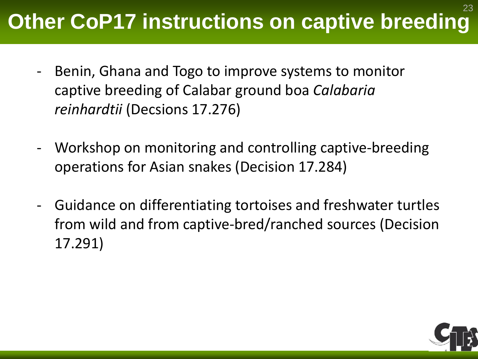#### **Other CoP17 instructions on captive breeding** 23

- Benin, Ghana and Togo to improve systems to monitor captive breeding of Calabar ground boa *Calabaria reinhardtii* (Decsions 17.276)
- Workshop on monitoring and controlling captive-breeding operations for Asian snakes (Decision 17.284)
- Guidance on differentiating tortoises and freshwater turtles from wild and from captive-bred/ranched sources (Decision 17.291)

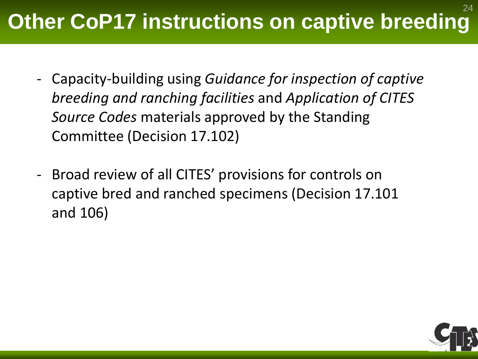#### **Other CoP17 instructions on captive breeding** 24

- Capacity-building using *Guidance for inspection of captive breeding and ranching facilities* and *Application of CITES Source Codes* materials approved by the Standing Committee (Decision 17.102)
- Broad review of all CITES' provisions for controls on captive bred and ranched specimens (Decision 17.101 and 106)